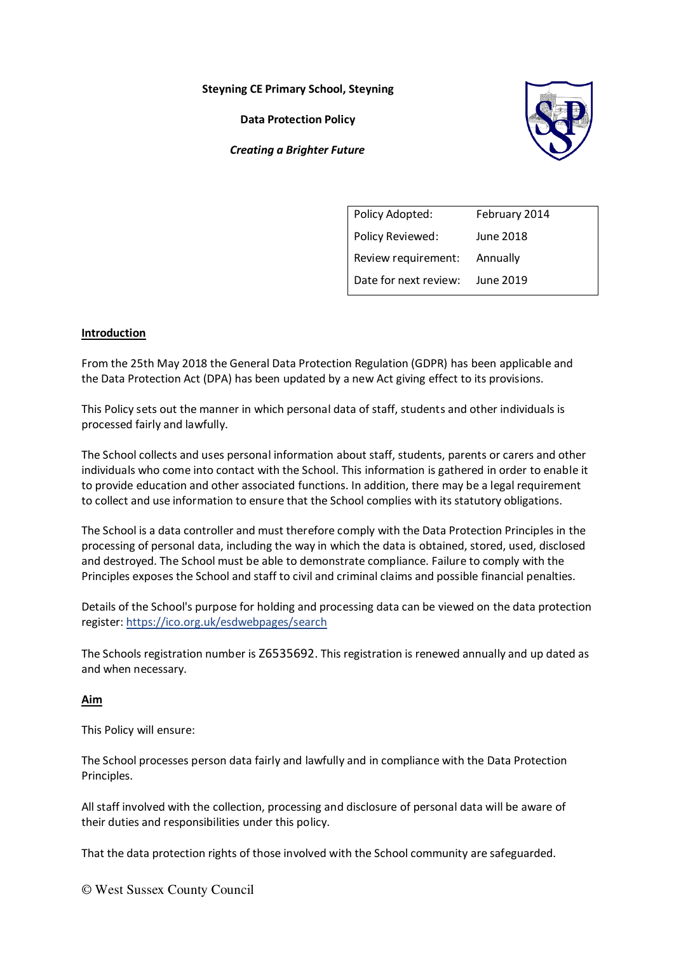**Steyning CE Primary School, Steyning** 

**Data Protection Policy** 

*Creating a Brighter Future*



| Policy Adopted:       | February 2014 |
|-----------------------|---------------|
| Policy Reviewed:      | June 2018     |
| Review requirement:   | Annually      |
| Date for next review: | June 2019     |
|                       |               |

# **Introduction**

From the 25th May 2018 the General Data Protection Regulation (GDPR) has been applicable and the Data Protection Act (DPA) has been updated by a new Act giving effect to its provisions.

This Policy sets out the manner in which personal data of staff, students and other individuals is processed fairly and lawfully.

The School collects and uses personal information about staff, students, parents or carers and other individuals who come into contact with the School. This information is gathered in order to enable it to provide education and other associated functions. In addition, there may be a legal requirement to collect and use information to ensure that the School complies with its statutory obligations.

The School is a data controller and must therefore comply with the Data Protection Principles in the processing of personal data, including the way in which the data is obtained, stored, used, disclosed and destroyed. The School must be able to demonstrate compliance. Failure to comply with the Principles exposes the School and staff to civil and criminal claims and possible financial penalties.

Details of the School's purpose for holding and processing data can be viewed on the data protection register[: https://ico.org.uk/esdwebpages/search](https://ico.org.uk/esdwebpages/search)

The Schools registration number is Z6535692. This registration is renewed annually and up dated as and when necessary.

# **Aim**

This Policy will ensure:

The School processes person data fairly and lawfully and in compliance with the Data Protection Principles.

All staff involved with the collection, processing and disclosure of personal data will be aware of their duties and responsibilities under this policy.

That the data protection rights of those involved with the School community are safeguarded.

© West Sussex County Council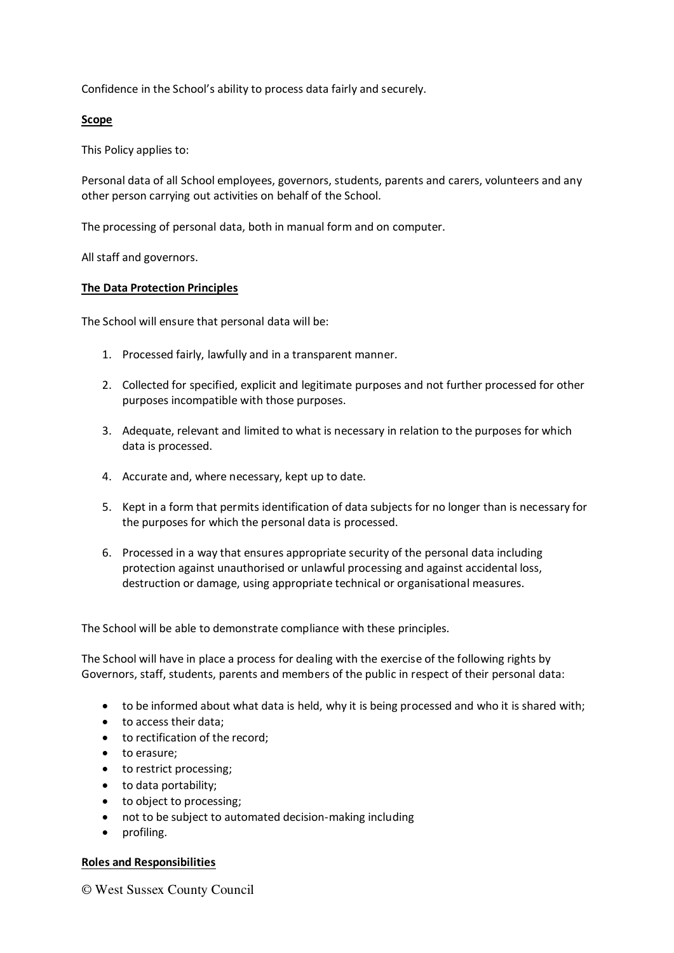Confidence in the School's ability to process data fairly and securely.

# **Scope**

This Policy applies to:

Personal data of all School employees, governors, students, parents and carers, volunteers and any other person carrying out activities on behalf of the School.

The processing of personal data, both in manual form and on computer.

All staff and governors.

# **The Data Protection Principles**

The School will ensure that personal data will be:

- 1. Processed fairly, lawfully and in a transparent manner.
- 2. Collected for specified, explicit and legitimate purposes and not further processed for other purposes incompatible with those purposes.
- 3. Adequate, relevant and limited to what is necessary in relation to the purposes for which data is processed.
- 4. Accurate and, where necessary, kept up to date.
- 5. Kept in a form that permits identification of data subjects for no longer than is necessary for the purposes for which the personal data is processed.
- 6. Processed in a way that ensures appropriate security of the personal data including protection against unauthorised or unlawful processing and against accidental loss, destruction or damage, using appropriate technical or organisational measures.

The School will be able to demonstrate compliance with these principles.

The School will have in place a process for dealing with the exercise of the following rights by Governors, staff, students, parents and members of the public in respect of their personal data:

- to be informed about what data is held, why it is being processed and who it is shared with;
- to access their data;
- to rectification of the record;
- to erasure:
- to restrict processing;
- to data portability;
- to object to processing;
- not to be subject to automated decision-making including
- profiling.

# **Roles and Responsibilities**

© West Sussex County Council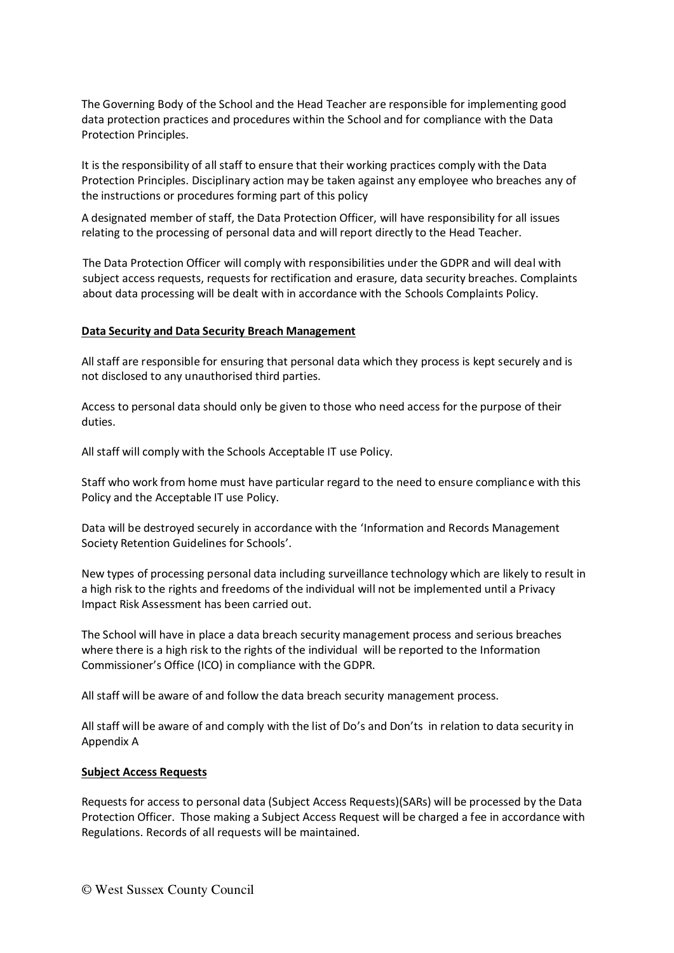The Governing Body of the School and the Head Teacher are responsible for implementing good data protection practices and procedures within the School and for compliance with the Data Protection Principles.

It is the responsibility of all staff to ensure that their working practices comply with the Data Protection Principles. Disciplinary action may be taken against any employee who breaches any of the instructions or procedures forming part of this policy

A designated member of staff, the Data Protection Officer, will have responsibility for all issues relating to the processing of personal data and will report directly to the Head Teacher.

The Data Protection Officer will comply with responsibilities under the GDPR and will deal with subject access requests, requests for rectification and erasure, data security breaches. Complaints about data processing will be dealt with in accordance with the Schools Complaints Policy.

### **Data Security and Data Security Breach Management**

All staff are responsible for ensuring that personal data which they process is kept securely and is not disclosed to any unauthorised third parties.

Access to personal data should only be given to those who need access for the purpose of their duties.

All staff will comply with the Schools Acceptable IT use Policy.

Staff who work from home must have particular regard to the need to ensure compliance with this Policy and the Acceptable IT use Policy.

Data will be destroyed securely in accordance with the 'Information and Records Management Society Retention Guidelines for Schools'.

New types of processing personal data including surveillance technology which are likely to result in a high risk to the rights and freedoms of the individual will not be implemented until a Privacy Impact Risk Assessment has been carried out.

The School will have in place a data breach security management process and serious breaches where there is a high risk to the rights of the individual will be reported to the Information Commissioner's Office (ICO) in compliance with the GDPR.

All staff will be aware of and follow the data breach security management process.

All staff will be aware of and comply with the list of Do's and Don'ts in relation to data security in Appendix A

#### **Subject Access Requests**

Requests for access to personal data (Subject Access Requests)(SARs) will be processed by the Data Protection Officer. Those making a Subject Access Request will be charged a fee in accordance with Regulations. Records of all requests will be maintained.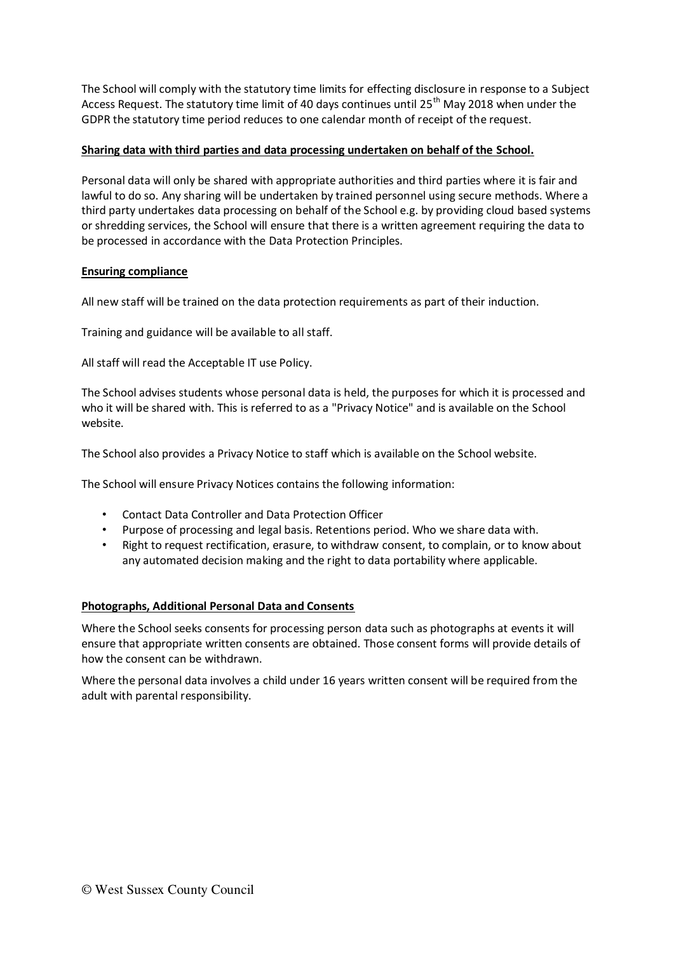The School will comply with the statutory time limits for effecting disclosure in response to a Subject Access Request. The statutory time limit of 40 days continues until 25<sup>th</sup> May 2018 when under the GDPR the statutory time period reduces to one calendar month of receipt of the request.

# **Sharing data with third parties and data processing undertaken on behalf of the School.**

Personal data will only be shared with appropriate authorities and third parties where it is fair and lawful to do so. Any sharing will be undertaken by trained personnel using secure methods. Where a third party undertakes data processing on behalf of the School e.g. by providing cloud based systems or shredding services, the School will ensure that there is a written agreement requiring the data to be processed in accordance with the Data Protection Principles.

# **Ensuring compliance**

All new staff will be trained on the data protection requirements as part of their induction.

Training and guidance will be available to all staff.

All staff will read the Acceptable IT use Policy.

The School advises students whose personal data is held, the purposes for which it is processed and who it will be shared with. This is referred to as a "Privacy Notice" and is available on the School website.

The School also provides a Privacy Notice to staff which is available on the School website.

The School will ensure Privacy Notices contains the following information:

- Contact Data Controller and Data Protection Officer
- Purpose of processing and legal basis. Retentions period. Who we share data with.
- Right to request rectification, erasure, to withdraw consent, to complain, or to know about any automated decision making and the right to data portability where applicable.

# **Photographs, Additional Personal Data and Consents**

Where the School seeks consents for processing person data such as photographs at events it will ensure that appropriate written consents are obtained. Those consent forms will provide details of how the consent can be withdrawn.

Where the personal data involves a child under 16 years written consent will be required from the adult with parental responsibility.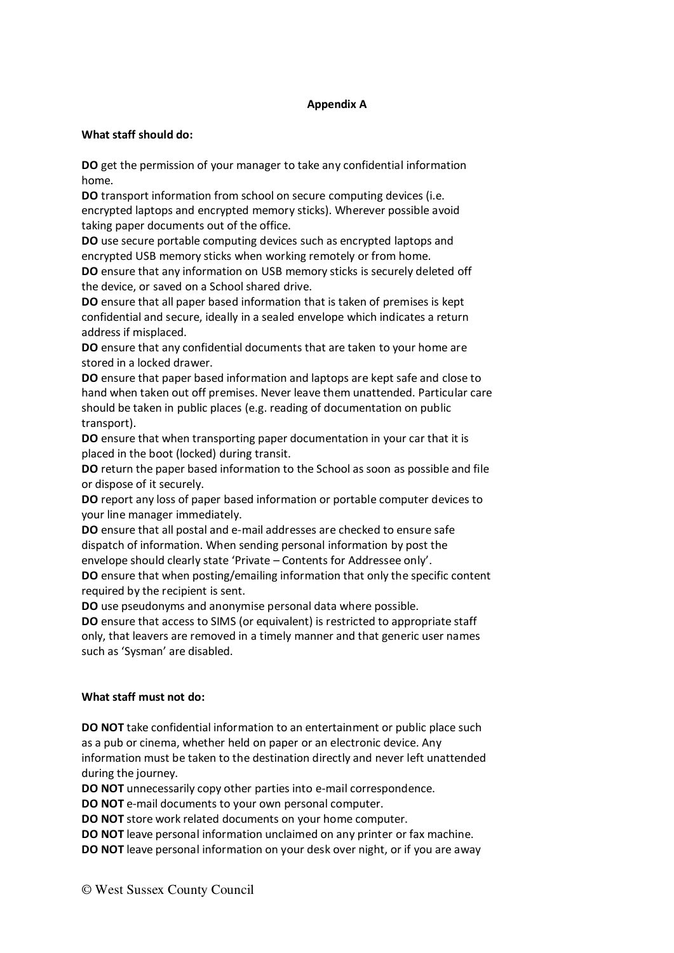# **Appendix A**

### **What staff should do:**

**DO** get the permission of your manager to take any confidential information home.

**DO** transport information from school on secure computing devices (i.e. encrypted laptops and encrypted memory sticks). Wherever possible avoid taking paper documents out of the office.

**DO** use secure portable computing devices such as encrypted laptops and encrypted USB memory sticks when working remotely or from home.

**DO** ensure that any information on USB memory sticks is securely deleted off the device, or saved on a School shared drive.

**DO** ensure that all paper based information that is taken of premises is kept confidential and secure, ideally in a sealed envelope which indicates a return address if misplaced.

**DO** ensure that any confidential documents that are taken to your home are stored in a locked drawer.

**DO** ensure that paper based information and laptops are kept safe and close to hand when taken out off premises. Never leave them unattended. Particular care should be taken in public places (e.g. reading of documentation on public transport).

**DO** ensure that when transporting paper documentation in your car that it is placed in the boot (locked) during transit.

**DO** return the paper based information to the School as soon as possible and file or dispose of it securely.

**DO** report any loss of paper based information or portable computer devices to your line manager immediately.

**DO** ensure that all postal and e-mail addresses are checked to ensure safe dispatch of information. When sending personal information by post the envelope should clearly state 'Private – Contents for Addressee only'. **DO** ensure that when posting/emailing information that only the specific content required by the recipient is sent.

**DO** use pseudonyms and anonymise personal data where possible.

**DO** ensure that access to SIMS (or equivalent) is restricted to appropriate staff only, that leavers are removed in a timely manner and that generic user names such as 'Sysman' are disabled.

#### **What staff must not do:**

**DO NOT** take confidential information to an entertainment or public place such as a pub or cinema, whether held on paper or an electronic device. Any information must be taken to the destination directly and never left unattended during the journey.

**DO NOT** unnecessarily copy other parties into e-mail correspondence.

**DO NOT** e-mail documents to your own personal computer.

**DO NOT** store work related documents on your home computer.

**DO NOT** leave personal information unclaimed on any printer or fax machine.

**DO NOT** leave personal information on your desk over night, or if you are away